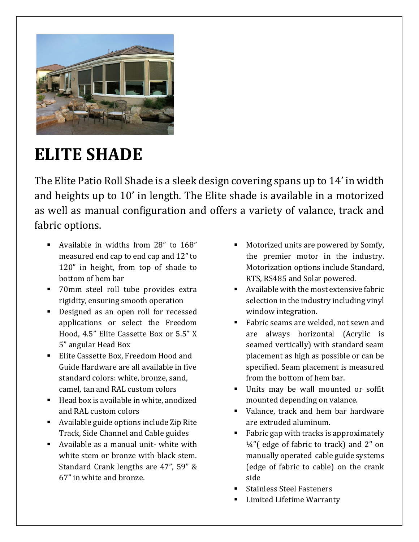

## **ELITE SHADE**

The Elite Patio Roll Shade is a sleek design covering spans up to 14' in width and heights up to 10' in length. The Elite shade is available in a motorized as well as manual configuration and offers a variety of valance, track and fabric options.

- Available in widths from 28" to 168" measured end cap to end cap and 12" to 120" in height, from top of shade to bottom of hem bar
- **The 70mm steel roll tube provides extra** rigidity, ensuring smooth operation
- Designed as an open roll for recessed applications or select the Freedom Hood, 4.5" Elite Cassette Box or 5.5" X 5" angular Head Box
- Elite Cassette Box, Freedom Hood and Guide Hardware are all available in five standard colors: white, bronze, sand, camel, tan and RAL custom colors
- $\blacksquare$  Head box is available in white, anodized and RAL custom colors
- Available guide options include Zip Rite Track, Side Channel and Cable guides
- Available as a manual unit- white with white stem or bronze with black stem. Standard Crank lengths are 47", 59" & 67" in white and bronze.
- Motorized units are powered by Somfy, the premier motor in the industry. Motorization options include Standard, RTS, RS485 and Solar powered.
- Available with the most extensive fabric selection in the industry including vinyl window integration.
- Fabric seams are welded, not sewn and are always horizontal (Acrylic is seamed vertically) with standard seam placement as high as possible or can be specified. Seam placement is measured from the bottom of hem bar.
- Units may be wall mounted or soffit mounted depending on valance.
- Valance, track and hem bar hardware are extruded aluminum.
- Fabric gap with tracks is approximately  $\frac{1}{4}$ "(edge of fabric to track) and 2" on manually operated cable guide systems (edge of fabric to cable) on the crank side
- Stainless Steel Fasteners
- Limited Lifetime Warranty